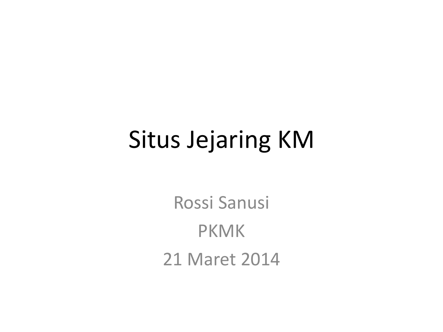### Situs Jejaring KM

Rossi Sanusi PKMK 21 Maret 2014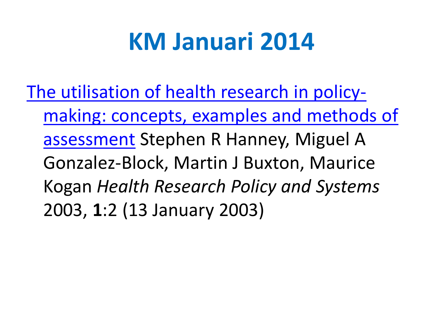### **KM Januari 2014**

[The utilisation of health research in policy](http://www.health-policy-systems.com/content/1/1/2)[making: concepts, examples and methods of](http://www.health-policy-systems.com/content/1/1/2)  [assessment](http://www.health-policy-systems.com/content/1/1/2) Stephen R Hanney, Miguel A Gonzalez-Block, Martin J Buxton, Maurice Kogan *Health Research Policy and Systems* 2003, **1**:2 (13 January 2003)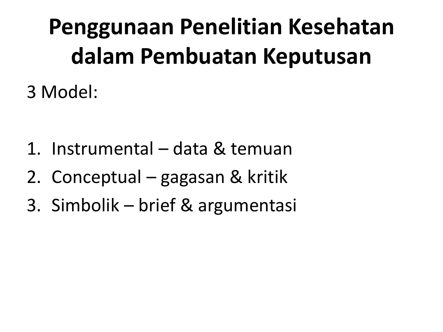# **Penggunaan Penelitian Kesehatan dalam Pembuatan Keputusan**

3 Model:

- 1. Instrumental data & temuan
- 2. Conceptual gagasan & kritik
- 3. Simbolik brief & argumentasi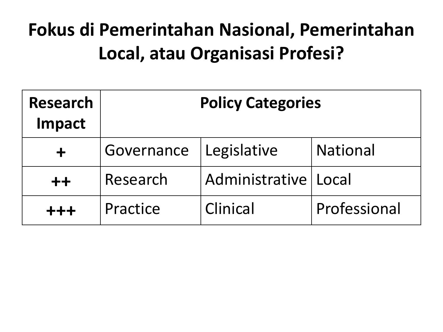### **Fokus di Pemerintahan Nasional, Pemerintahan Local, atau Organisasi Profesi?**

| <b>Research</b><br>Impact | <b>Policy Categories</b> |                        |                 |  |
|---------------------------|--------------------------|------------------------|-----------------|--|
|                           | Governance               | Legislative            | <b>National</b> |  |
| $++$                      | Research                 | Administrative   Local |                 |  |
| $+ + +$                   | Practice                 | Clinical               | Professional    |  |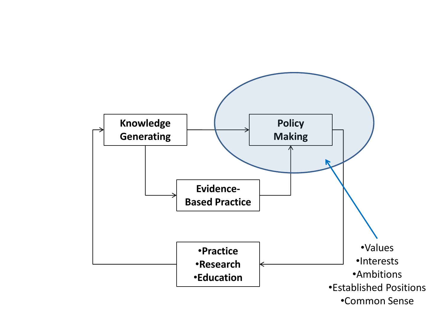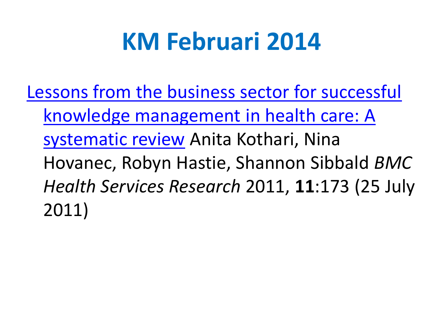### **KM Februari 2014**

[Lessons from the business sector for successful](http://www.biomedcentral.com/1472-6963/11/173)  [knowledge management in health care: A](http://www.biomedcentral.com/1472-6963/11/173)  [systematic review](http://www.biomedcentral.com/1472-6963/11/173) Anita Kothari, Nina Hovanec, Robyn Hastie, Shannon Sibbald *BMC Health Services Research* 2011, **11**:173 (25 July 2011)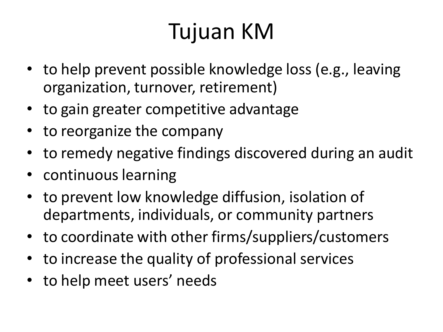### Tujuan KM

- to help prevent possible knowledge loss (e.g., leaving organization, turnover, retirement)
- to gain greater competitive advantage
- to reorganize the company
- to remedy negative findings discovered during an audit
- continuous learning
- to prevent low knowledge diffusion, isolation of departments, individuals, or community partners
- to coordinate with other firms/suppliers/customers
- to increase the quality of professional services
- to help meet users' needs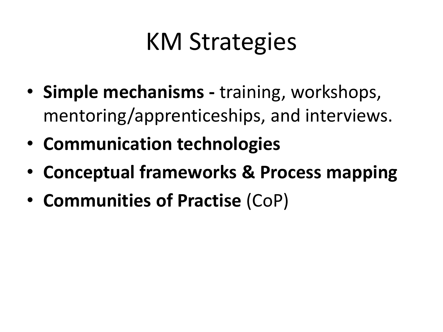## KM Strategies

- **Simple mechanisms -** training, workshops, mentoring/apprenticeships, and interviews.
- **Communication technologies**
- **Conceptual frameworks & Process mapping**
- **Communities of Practise** (CoP)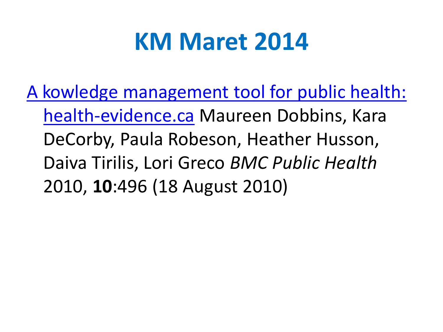### **KM Maret 2014**

[A kowledge management tool for public health:](http://www.biomedcentral.com/1471-2458/10/496)  [health-evidence.ca](http://www.biomedcentral.com/1471-2458/10/496) Maureen Dobbins, Kara DeCorby, Paula Robeson, Heather Husson, Daiva Tirilis, Lori Greco *BMC Public Health* 2010, **10**:496 (18 August 2010)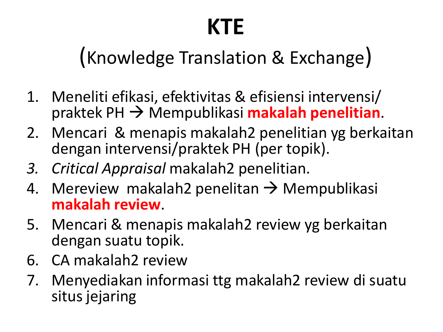### **KTE**

### (Knowledge Translation & Exchange)

- 1. Meneliti efikasi, efektivitas & efisiensi intervensi/ praktek PH Mempublikasi **makalah penelitian**.
- 2. Mencari & menapis makalah2 penelitian yg berkaitan dengan intervensi/praktek PH (per topik).
- *3. Critical Appraisal* makalah2 penelitian.
- 4. Mereview makalah2 penelitan  $\rightarrow$  Mempublikasi **makalah review**.
- 5. Mencari & menapis makalah2 review yg berkaitan dengan suatu topik.
- 6. CA makalah2 review
- 7. Menyediakan informasi ttg makalah2 review di suatu situs jejaring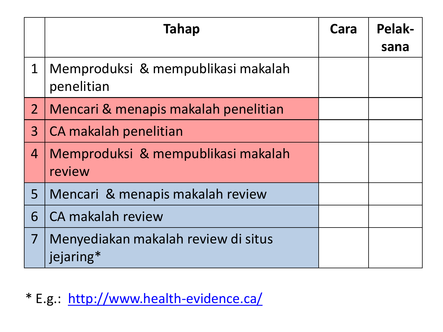|                | <b>Tahap</b>                                     | Cara | Pelak-<br>sana |
|----------------|--------------------------------------------------|------|----------------|
| $\mathbf 1$    | Memproduksi & mempublikasi makalah<br>penelitian |      |                |
| $\overline{2}$ | Mencari & menapis makalah penelitian             |      |                |
| $\overline{3}$ | CA makalah penelitian                            |      |                |
| $\overline{4}$ | Memproduksi & mempublikasi makalah<br>review     |      |                |
| 5              | Mencari & menapis makalah review                 |      |                |
| 6              | CA makalah review                                |      |                |
| $\overline{7}$ | Menyediakan makalah review di situs<br>jejaring* |      |                |

\* E.g.: <http://www.health-evidence.ca/>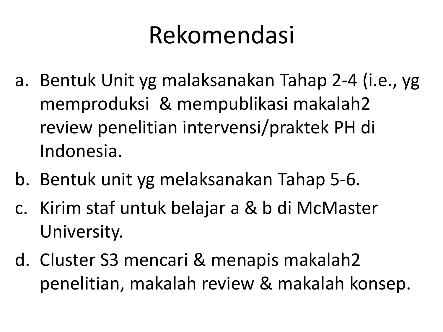## Rekomendasi

- a. Bentuk Unit yg malaksanakan Tahap 2-4 (i.e., yg memproduksi & mempublikasi makalah2 review penelitian intervensi/praktek PH di Indonesia.
- b. Bentuk unit yg melaksanakan Tahap 5-6.
- c. Kirim staf untuk belajar a & b di McMaster University.
- d. Cluster S3 mencari & menapis makalah2 penelitian, makalah review & makalah konsep.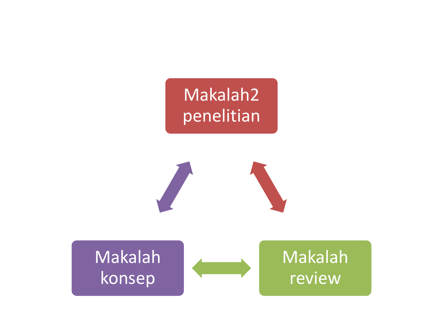#### Makalah2 penelitian